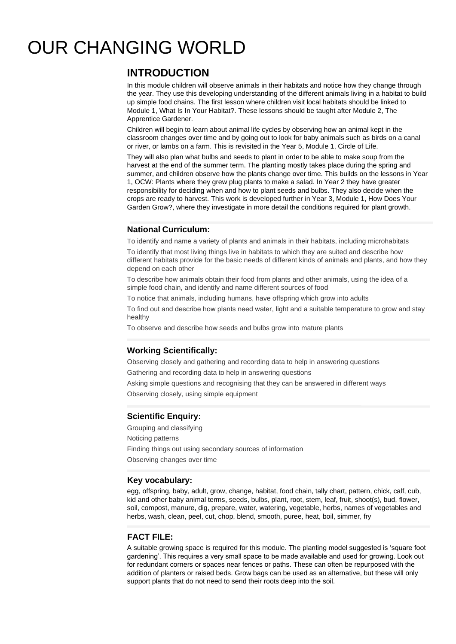# OUR CHANGING WORLD

# **INTRODUCTION**

In this module children will observe animals in their habitats and notice how they change through the year. They use this developing understanding of the different animals living in a habitat to build up simple food chains. The first lesson where children visit local habitats should be linked to Module 1, What Is In Your Habitat?. These lessons should be taught after Module 2, The Apprentice Gardener.

Children will begin to learn about animal life cycles by observing how an animal kept in the classroom changes over time and by going out to look for baby animals such as birds on a canal or river, or lambs on a farm. This is revisited in the Year 5, Module 1, Circle of Life.

They will also plan what bulbs and seeds to plant in order to be able to make soup from the harvest at the end of the summer term. The planting mostly takes place during the spring and summer, and children observe how the plants change over time. This builds on the lessons in Year 1, OCW: Plants where they grew plug plants to make a salad. In Year 2 they have greater responsibility for deciding when and how to plant seeds and bulbs. They also decide when the crops are ready to harvest. This work is developed further in Year 3, Module 1, How Does Your Garden Grow?, where they investigate in more detail the conditions required for plant growth.

### **National Curriculum:**

To identify and name a variety of plants and animals in their habitats, including microhabitats

To identify that most living things live in habitats to which they are suited and describe how different habitats provide for the basic needs of different kinds of animals and plants, and how they depend on each other

To describe how animals obtain their food from plants and other animals, using the idea of a simple food chain, and identify and name different sources of food

To notice that animals, including humans, have offspring which grow into adults

To find out and describe how plants need water, light and a suitable temperature to grow and stay healthy

To observe and describe how seeds and bulbs grow into mature plants

# **Working Scientifically:**

Observing closely and gathering and recording data to help in answering questions Gathering and recording data to help in answering questions

Asking simple questions and recognising that they can be answered in different ways Observing closely, using simple equipment

#### **Scientific Enquiry:**

Grouping and classifying Noticing patterns Finding things out using secondary sources of information Observing changes over time

#### **Key vocabulary:**

egg, offspring, baby, adult, grow, change, habitat, food chain, tally chart, pattern, chick, calf, cub, kid and other baby animal terms, seeds, bulbs, plant, root, stem, leaf, fruit, shoot(s), bud, flower, soil, compost, manure, dig, prepare, water, watering, vegetable, herbs, names of vegetables and herbs, wash, clean, peel, cut, chop, blend, smooth, puree, heat, boil, simmer, fry

#### **FACT FILE:**

A suitable growing space is required for this module. The planting model suggested is 'square foot gardening'. This requires a very small space to be made available and used for growing. Look out for redundant corners or spaces near fences or paths. These can often be repurposed with the addition of planters or raised beds. Grow bags can be used as an alternative, but these will only support plants that do not need to send their roots deep into the soil.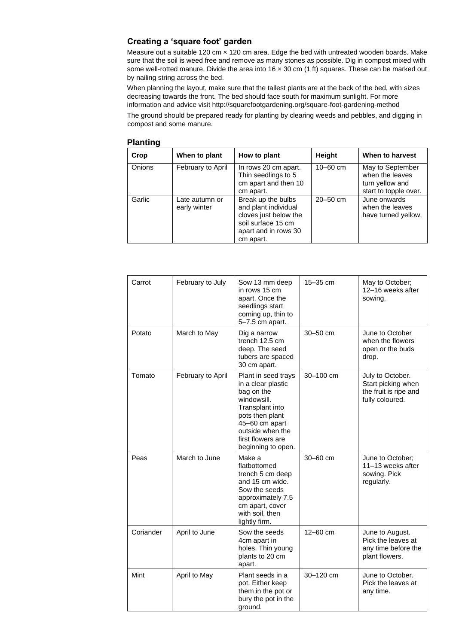## **Creating a 'square foot' garden**

Measure out a suitable 120 cm x 120 cm area. Edge the bed with untreated wooden boards. Make sure that the soil is weed free and remove as many stones as possible. Dig in compost mixed with some well-rotted manure. Divide the area into 16 x 30 cm (1 ft) squares. These can be marked out by nailing string across the bed.

When planning the layout, make sure that the tallest plants are at the back of the bed, with sizes decreasing towards the front. The bed should face south for maximum sunlight. For more information and advice visit<http://squarefootgardening.org/square-foot-gardening-method>

The ground should be prepared ready for planting by clearing weeds and pebbles, and digging in compost and some manure.

| Crop          | When to plant                  | How to plant                                                                                                                   | <b>Height</b> | When to harvest                                                                 |
|---------------|--------------------------------|--------------------------------------------------------------------------------------------------------------------------------|---------------|---------------------------------------------------------------------------------|
| <b>Onions</b> | February to April              | In rows 20 cm apart.<br>Thin seedlings to 5<br>cm apart and then 10<br>cm apart.                                               | $10 - 60$ cm  | May to September<br>when the leaves<br>turn yellow and<br>start to topple over. |
| Garlic        | Late autumn or<br>early winter | Break up the bulbs<br>and plant individual<br>cloves just below the<br>soil surface 15 cm<br>apart and in rows 30<br>cm apart. | $20 - 50$ cm  | June onwards<br>when the leaves<br>have turned yellow.                          |

#### **Planting**

| Carrot    | February to July  | Sow 13 mm deep<br>in rows 15 cm<br>apart. Once the<br>seedlings start<br>coming up, thin to<br>5-7.5 cm apart.                                                                                | 15-35 cm     | May to October;<br>12-16 weeks after<br>sowing.                                    |
|-----------|-------------------|-----------------------------------------------------------------------------------------------------------------------------------------------------------------------------------------------|--------------|------------------------------------------------------------------------------------|
| Potato    | March to May      | Dig a narrow<br>trench 12.5 cm<br>deep. The seed<br>tubers are spaced<br>30 cm apart.                                                                                                         | $30 - 50$ cm | June to October<br>when the flowers<br>open or the buds<br>drop.                   |
| Tomato    | February to April | Plant in seed trays<br>in a clear plastic<br>bag on the<br>windowsill.<br>Transplant into<br>pots then plant<br>45-60 cm apart<br>outside when the<br>first flowers are<br>beginning to open. | 30-100 cm    | July to October.<br>Start picking when<br>the fruit is ripe and<br>fully coloured. |
| Peas      | March to June     | Make a<br>flatbottomed<br>trench 5 cm deep<br>and 15 cm wide.<br>Sow the seeds<br>approximately 7.5<br>cm apart, cover<br>with soil, then<br>lightly firm.                                    | $30 - 60$ cm | June to October;<br>11-13 weeks after<br>sowing. Pick<br>regularly.                |
| Coriander | April to June     | Sow the seeds<br>4cm apart in<br>holes. Thin young<br>plants to 20 cm<br>apart.                                                                                                               | 12-60 cm     | June to August.<br>Pick the leaves at<br>any time before the<br>plant flowers.     |
| Mint      | April to May      | Plant seeds in a<br>pot. Either keep<br>them in the pot or<br>bury the pot in the<br>ground.                                                                                                  | 30-120 cm    | June to October.<br>Pick the leaves at<br>any time.                                |